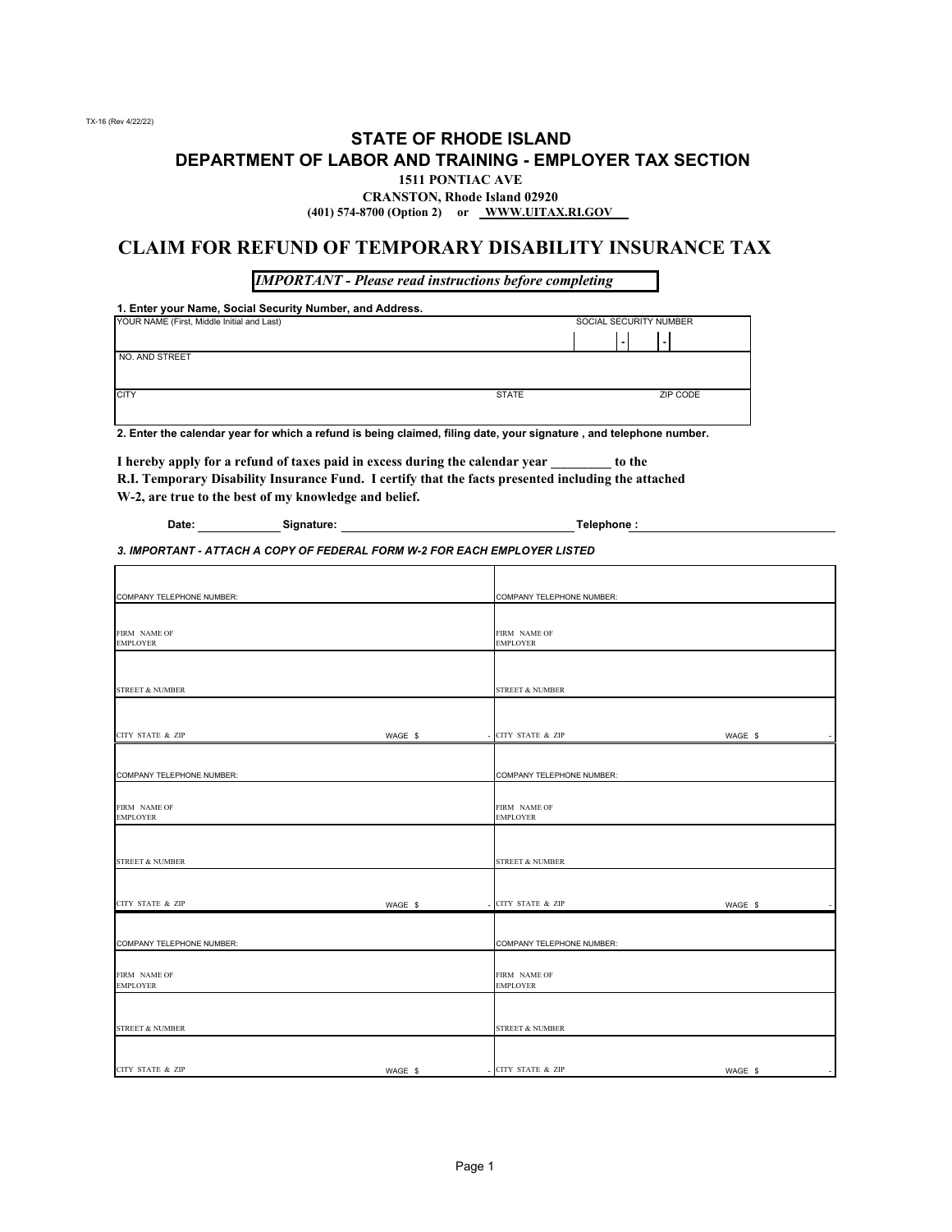#### **STATE OF RHODE ISLAND DEPARTMENT OF LABOR AND TRAINING - EMPLOYER TAX SECTION 1511 PONTIAC AVE**

### **CRANSTON, Rhode Island 02920**

**(401) 574-8700 (Option 2) or WWW.UITAX.RI.GOV** 

#### **CLAIM FOR REFUND OF TEMPORARY DISABILITY INSURANCE TAX**

*IMPORTANT - Please read instructions before completing*

**1. Enter your Name, Social Security Number, and Address.**

| SOCIAL SECURITY NUMBER |
|------------------------|
|                        |
|                        |
|                        |
| ZIP CODE               |
|                        |
|                        |

**2. Enter the calendar year for which a refund is being claimed, filing date, your signature , and telephone number.**

**I hereby apply for a refund of taxes paid in excess during the calendar year \_\_\_\_\_\_\_\_\_ to the R.I. Temporary Disability Insurance Fund. I certify that the facts presented including the attached W-2, are true to the best of my knowledge and belief.**

| Date: | Signature: | Telephone: |
|-------|------------|------------|
|       |            |            |

*3. IMPORTANT - ATTACH A COPY OF FEDERAL FORM W-2 FOR EACH EMPLOYER LISTED*

| COMPANY TELEPHONE NUMBER:       |         | COMPANY TELEPHONE NUMBER:       |         |
|---------------------------------|---------|---------------------------------|---------|
| FIRM NAME OF<br><b>EMPLOYER</b> |         | FIRM NAME OF<br><b>EMPLOYER</b> |         |
| <b>STREET &amp; NUMBER</b>      |         | <b>STREET &amp; NUMBER</b>      |         |
|                                 |         |                                 |         |
| CITY STATE & ZIP                | WAGE \$ | CITY STATE & ZIP                | WAGE \$ |
|                                 |         |                                 |         |
| COMPANY TELEPHONE NUMBER:       |         | COMPANY TELEPHONE NUMBER:       |         |
| FIRM NAME OF<br><b>EMPLOYER</b> |         | FIRM NAME OF<br><b>EMPLOYER</b> |         |
|                                 |         |                                 |         |
| <b>STREET &amp; NUMBER</b>      |         | <b>STREET &amp; NUMBER</b>      |         |
| <b>CITY STATE &amp; ZIP</b>     | WAGE \$ | CITY STATE & ZIP                | WAGE \$ |
|                                 |         |                                 |         |
| COMPANY TELEPHONE NUMBER:       |         | COMPANY TELEPHONE NUMBER:       |         |
| FIRM NAME OF<br><b>EMPLOYER</b> |         | FIRM NAME OF<br><b>EMPLOYER</b> |         |
|                                 |         |                                 |         |
| <b>STREET &amp; NUMBER</b>      |         | <b>STREET &amp; NUMBER</b>      |         |
|                                 |         |                                 |         |
| CITY STATE & ZIP                | WAGE \$ | - CITY STATE & ZIP              | WAGE \$ |